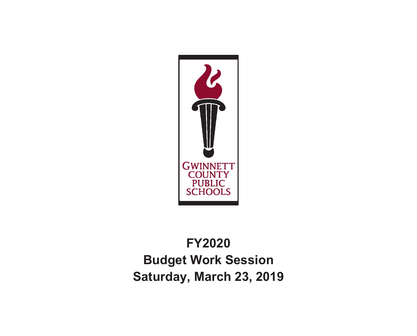

# **FY2020 Budget Work Session Saturday, March 23, 2019**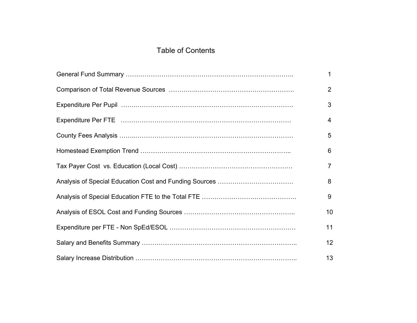### Table of Contents

| $\mathbf{1}$   |
|----------------|
| $\overline{2}$ |
| 3              |
| $\overline{4}$ |
| 5              |
| 6              |
| $\overline{7}$ |
| 8              |
| 9              |
| 10             |
| 11             |
| 12             |
| 13             |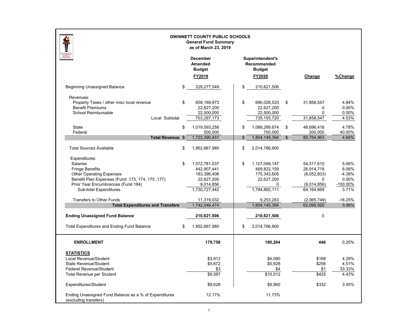|                                                                                                                                                                                                           | <b>GWINNETT COUNTY PUBLIC SCHOOLS</b><br><b>General Fund Summary</b><br>as of March 23, 2019  |                                                                                       |                |                                                                           |                                                          |
|-----------------------------------------------------------------------------------------------------------------------------------------------------------------------------------------------------------|-----------------------------------------------------------------------------------------------|---------------------------------------------------------------------------------------|----------------|---------------------------------------------------------------------------|----------------------------------------------------------|
|                                                                                                                                                                                                           | <b>December</b><br><b>Amended</b><br><b>Budget</b><br>FY2019                                  | Superintendent's<br>Recommended<br><b>Budget</b><br>FY2020                            |                | Change                                                                    | %Change                                                  |
| <b>Beginning Unassigned Balance</b>                                                                                                                                                                       | \$<br>229,277,549                                                                             | \$<br>210,621,506                                                                     |                |                                                                           |                                                          |
| Revenues:<br>Property Taxes / other misc local revenue<br><b>Benefit Premiums</b><br>School Reimbursable<br>Local Subtotal                                                                                | \$<br>658,169,973<br>22,627,200<br>22,500,000<br>703,297,173                                  | \$<br>690,028,520<br>22,627,200<br>22,500,000<br>735,155,720                          | \$             | 31,858,547<br>0<br>0<br>31,858,547                                        | 4.84%<br>0.00%<br>0.00%<br>4.53%                         |
| State<br>Federal                                                                                                                                                                                          | \$<br>1,019,593,258<br>500,000                                                                | \$<br>1,068,289,674<br>700,000                                                        | \$             | 48,696,416<br>200,000                                                     | 4.78%<br>40.00%                                          |
| Total Revenue \$                                                                                                                                                                                          | 1,723,390,431                                                                                 | \$<br>1,804,145,394                                                                   | $\mathfrak{S}$ | 80,754,963                                                                | 4.69%                                                    |
| <b>Total Sources Available</b>                                                                                                                                                                            | \$<br>1,952,667,980                                                                           | \$<br>2,014,766,900                                                                   |                |                                                                           |                                                          |
| Expenditures:<br>Salaries<br><b>Fringe Benefits</b><br><b>Other Operating Expenses</b><br>Benefit Plan Expenses (Fund 173, 174, 175, 177)<br>Prior Year Encumbrances (Fund 184)<br>Sub-total Expenditures | \$<br>1,072,781,537<br>442,907,441<br>183,396,408<br>22,627,200<br>9,014,856<br>1,730,727,442 | \$<br>1,127,099,147<br>469,822,159<br>175,343,605<br>22,627,200<br>0<br>1,794,892,111 |                | 54,317,610<br>26,914,718<br>(8,052,803)<br>0<br>(9,014,856)<br>64,164,669 | 5.06%<br>6.08%<br>$-4.39%$<br>0.00%<br>-100.00%<br>3.71% |
| <b>Transfers to Other Funds</b>                                                                                                                                                                           | 11,319,032                                                                                    | 9,253,283                                                                             |                | (2,065,749)                                                               | $-18.25%$                                                |
| <b>Total Expenditures and Transfers</b>                                                                                                                                                                   | 1,742,046,474                                                                                 | 1,804,145,394                                                                         |                | 62,098,920                                                                | 3.56%                                                    |
| <b>Ending Unassigned Fund Balance</b>                                                                                                                                                                     | 210,621,506                                                                                   | 210,621,506                                                                           |                | 0                                                                         |                                                          |
| <b>Total Expenditures and Ending Fund Balance</b>                                                                                                                                                         | \$<br>1,952,667,980                                                                           | \$<br>2,014,766,900                                                                   |                |                                                                           |                                                          |
| <b>ENROLLMENT</b>                                                                                                                                                                                         | 179,758                                                                                       | 180,204                                                                               |                | 446                                                                       | 0.25%                                                    |
| <b>STATISTICS</b><br>Local Revenue/Student<br><b>State Revenue/Student</b><br>Federal Revenue/Student<br><b>Total Revenue per Student</b>                                                                 | \$3,912<br>\$5,672<br>\$3<br>\$9,587                                                          | \$4,080<br>\$5,928<br>\$4<br>\$10,012                                                 |                | \$168<br>\$256<br>\$1<br>\$425                                            | 4.29%<br>4.51%<br>33.33%<br>4.43%                        |
| Expenditures/Student                                                                                                                                                                                      | \$9,628                                                                                       | \$9,960                                                                               |                | \$332                                                                     | 3.45%                                                    |
| Ending Unassigned Fund Balance as a % of Expenditures<br>(excluding transfers)                                                                                                                            | 12.17%                                                                                        | 11.73%                                                                                |                |                                                                           |                                                          |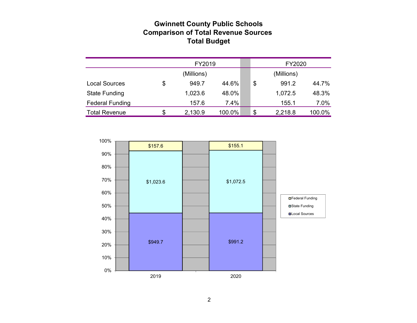### **Gwinnett County Public Schools Comparison of Total Revenue Sources Total Budget**

|                        | FY2019      |        |  |    | FY2020     |        |
|------------------------|-------------|--------|--|----|------------|--------|
|                        | (Millions)  |        |  |    | (Millions) |        |
| <b>Local Sources</b>   | \$<br>949.7 | 44.6%  |  | \$ | 991.2      | 44.7%  |
| <b>State Funding</b>   | 1,023.6     | 48.0%  |  |    | 1,072.5    | 48.3%  |
| <b>Federal Funding</b> | 157.6       | 7.4%   |  |    | 155.1      | 7.0%   |
| <b>Total Revenue</b>   | 2,130.9     | 100.0% |  | S  | 2,218.8    | 100.0% |

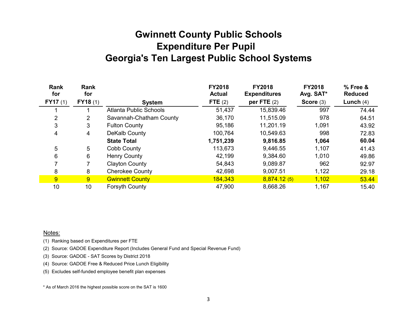## **Gwinnett County Public Schools Expenditure Per Pupil Georgia's Ten Largest Public School Systems**

| Rank<br>for | Rank<br>for |                               | <b>FY2018</b><br><b>Actual</b> | <b>FY2018</b><br><b>Expenditures</b> | <b>FY2018</b><br>Avg. SAT* | % Free &<br><b>Reduced</b> |
|-------------|-------------|-------------------------------|--------------------------------|--------------------------------------|----------------------------|----------------------------|
| FY17(1)     | FY18(1)     | <b>System</b>                 | FTE $(2)$                      | per FTE $(2)$                        | Score $(3)$                | Lunch $(4)$                |
|             |             | <b>Atlanta Public Schools</b> | 51,437                         | 15,839.46                            | 997                        | 74.44                      |
| 2           | 2           | Savannah-Chatham County       | 36,170                         | 11,515.09                            | 978                        | 64.51                      |
| 3           | 3           | <b>Fulton County</b>          | 95,186                         | 11,201.19                            | 1,091                      | 43.92                      |
| 4           | 4           | DeKalb County                 | 100,764                        | 10,549.63                            | 998                        | 72.83                      |
|             |             | <b>State Total</b>            | 1,751,239                      | 9,816.85                             | 1,064                      | 60.04                      |
| 5           | 5           | Cobb County                   | 113,673                        | 9,446.55                             | 1,107                      | 41.43                      |
| 6           | 6           | <b>Henry County</b>           | 42,199                         | 9,384.60                             | 1,010                      | 49.86                      |
|             |             | <b>Clayton County</b>         | 54,843                         | 9,089.87                             | 962                        | 92.97                      |
| 8           | 8           | <b>Cherokee County</b>        | 42,698                         | 9,007.51                             | 1,122                      | 29.18                      |
| 9           | 9           | <b>Gwinnett County</b>        | 184,343                        | 8,874.12(5)                          | 1,102                      | 53.44                      |
| 10          | 10          | <b>Forsyth County</b>         | 47,900                         | 8,668.26                             | 1,167                      | 15.40                      |

Notes:

(1) Ranking based on Expenditures per FTE

(2) Source: GADOE Expenditure Report (Includes General Fund and Special Revenue Fund)

(3) Source: GADOE - SAT Scores by District 2018

(4) Source: GADOE Free & Reduced Price Lunch Eligibility

(5) Excludes self-funded employee benefit plan expenses

\* As of March 2016 the highest possible score on the SAT is 1600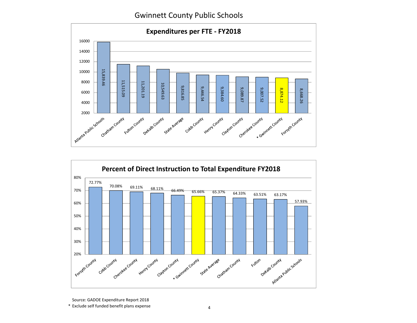Gwinnett County Public Schools





Source: GADOE Expenditure Report 2018

<sup>\*</sup> Exclude self funded benefit plans expense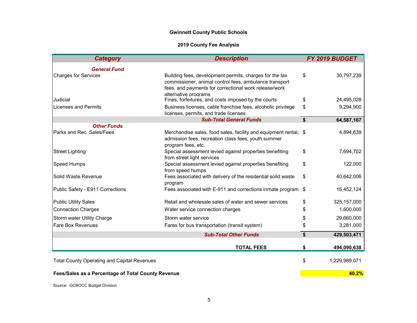### **Gwinnett County Public Schools**

### **2019 County Fee Analysis**

| <b>Category</b>                                    | <b>Description</b>                                                                                                                                                                                 |                    | FY 2019 BUDGET |
|----------------------------------------------------|----------------------------------------------------------------------------------------------------------------------------------------------------------------------------------------------------|--------------------|----------------|
| <b>General Fund</b>                                |                                                                                                                                                                                                    |                    |                |
| <b>Charges for Services</b>                        | Building fees, development permits, charges for the tax<br>commissioner, animal control fees, ambulance transport<br>fees, and payments for correctional work release/work<br>alternative programs | \$                 | 30,797,239     |
| Judicial                                           | Fines, forfeitures, and costs imposed by the courts                                                                                                                                                | \$                 | 24,495,028     |
| Licenses and Permits                               | Business licenses, cable franchise fees, alcoholic privilege<br>licenses, permits, and trade licenses                                                                                              | \$                 | 9,294,900      |
|                                                    | <b>Sub-Total General Funds</b>                                                                                                                                                                     | \$                 | 64,587,167     |
| <b>Other Funds</b><br>Parks and Rec. Sales/Fees    | Merchandise sales, food sales, facility and equipment rental, \$<br>admission fees, recreation class fees, youth summer<br>program fees, etc.                                                      |                    | 4,894,639      |
| <b>Street Lighting</b>                             | Special assessment levied against properties benefiting<br>from street light services                                                                                                              | \$                 | 7,694,702      |
| Speed Humps                                        | Special assessment levied against properties benefiting<br>from speed humps                                                                                                                        | \$                 | 122,000        |
| Solid Waste Revenue                                | Fees associated with delivery of the residential solid waste<br>program                                                                                                                            | \$                 | 40,642,006     |
| Public Safety - E911 Corrections                   | Fees associated with E-911 and corrections inmate program                                                                                                                                          | \$                 | 16,452,124     |
| <b>Public Utility Sales</b>                        | Retail and wholesale sales of water and sewer services                                                                                                                                             | \$                 | 325, 157, 000  |
| <b>Connection Charges</b>                          | Water service connection charges                                                                                                                                                                   | \$                 | 1,600,000      |
| Storm water Utility Charge                         | Storm water service                                                                                                                                                                                | \$                 | 29,660,000     |
| <b>Fare Box Revenues</b>                           | Fares for bus transportation (transit system)                                                                                                                                                      | \$                 | 3,281,000      |
|                                                    | <b>Sub-Total Other Funds</b>                                                                                                                                                                       | $\mathbf{\hat{s}}$ | 429,503,471    |
|                                                    | <b>TOTAL FEES</b>                                                                                                                                                                                  | \$                 | 494,090,638    |
| <b>Total County Operating and Capital Revenues</b> |                                                                                                                                                                                                    | \$                 | 1,229,989,071  |
| Fees/Sales as a Percentage of Total County Revenue |                                                                                                                                                                                                    |                    | 40.2%          |

Source: GCBOCC Budget Division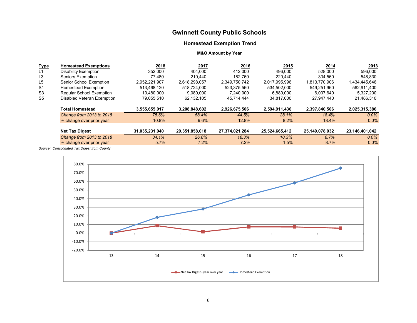### **Gwinnett County Public Schools**

### **Homestead Exemption Trend**

#### **M&O Amount by Year**

| <b>Type</b>    | <b>Homestead Exemptions</b> | 2018           | 2017           | 2016           | 2015           | 2014           | <u>2013</u>    |
|----------------|-----------------------------|----------------|----------------|----------------|----------------|----------------|----------------|
| L1             | <b>Disability Exemption</b> | 352,000        | 404.000        | 412,000        | 496,000        | 528.000        | 596,000        |
| L <sub>3</sub> | Seniors Exemption           | 77,480         | 210.440        | 182,760        | 220,440        | 334,560        | 548,830        |
| L <sub>5</sub> | Senior School Exemption     | 2,952,221,907  | 2,618,298,057  | 2,349,750,742  | 2,017,995,996  | 1,813,770,906  | 1,434,445,646  |
| S1             | Homestead Exemption         | 513.468.120    | 518,724,000    | 523.375.560    | 534.502.000    | 549.251.960    | 562,911,400    |
| S <sub>3</sub> | Regular School Exemption    | 10,480,000     | 9,080,000      | 7,240,000      | 6,880,000      | 6.007.640      | 5,327,200      |
| S <sub>5</sub> | Disabled Veteran Exemption  | 79,055,510     | 62,132,105     | 45,714,444     | 34,817,000     | 27,947,440     | 21,486,310     |
|                |                             |                |                |                |                |                |                |
|                | <b>Total Homestead</b>      | 3,555,655,017  | 3,208,848,602  | 2,926,675,506  | 2,594,911,436  | 2,397,840,506  | 2,025,315,386  |
|                | Change from 2013 to 2018    | 75.6%          | 58.4%          | 44.5%          | 28.1%          | 18.4%          | $0.0\%$        |
|                | % change over prior year    | 10.8%          | 9.6%           | 12.8%          | 8.2%           | 18.4%          | 0.0%           |
|                |                             |                |                |                |                |                |                |
|                | <b>Net Tax Digest</b>       | 31,035,231,040 | 29,351,858,018 | 27,374,021,284 | 25,524,665,412 | 25,149,078,032 | 23,146,401,042 |
|                | Change from 2013 to 2018    | 34.1%          | 26.8%          | 18.3%          | 10.3%          | 8.7%           | $0.0\%$        |
|                | % change over prior year    | 5.7%           | 7.2%           | 7.2%           | 1.5%           | 8.7%           | $0.0\%$        |

*Source: Consolidated Tax Digest from County*

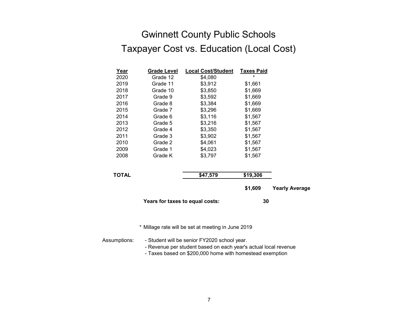## Gwinnett County Public Schools Taxpayer Cost vs. Education (Local Cost)

| <u>Year</u>                                      | <b>Grade Level</b> | <b>Local Cost/Student</b> | <b>Taxes Paid</b> |                       |  |  |  |
|--------------------------------------------------|--------------------|---------------------------|-------------------|-----------------------|--|--|--|
| 2020                                             | Grade 12           | \$4,080                   | $\star$           |                       |  |  |  |
| 2019                                             | Grade 11           | \$3,912                   | \$1,661           |                       |  |  |  |
| 2018                                             | Grade 10           | \$3,850                   | \$1,669           |                       |  |  |  |
| 2017                                             | Grade 9            | \$3,592                   | \$1,669           |                       |  |  |  |
| 2016                                             | Grade 8            | \$3,384                   | \$1,669           |                       |  |  |  |
| 2015                                             | Grade 7            | \$3,296                   | \$1,669           |                       |  |  |  |
| 2014                                             | Grade 6            | \$3,116                   | \$1,567           |                       |  |  |  |
| 2013                                             | Grade 5            | \$3,216                   | \$1,567           |                       |  |  |  |
| 2012                                             | Grade 4            | \$3,350                   | \$1,567           |                       |  |  |  |
| 2011                                             | Grade 3            | \$3,902                   | \$1,567           |                       |  |  |  |
| 2010                                             | Grade 2            | \$4,061                   | \$1,567           |                       |  |  |  |
| 2009                                             | Grade 1            | \$4,023                   | \$1,567           |                       |  |  |  |
| 2008                                             | Grade K            | \$3,797                   | \$1,567           |                       |  |  |  |
| <b>TOTAL</b>                                     |                    | \$47,579                  | \$19,306          |                       |  |  |  |
|                                                  |                    |                           | \$1,609           | <b>Yearly Average</b> |  |  |  |
| Years for taxes to equal costs:                  |                    |                           | 30                |                       |  |  |  |
|                                                  |                    |                           |                   |                       |  |  |  |
| Millage rate will be set at meeting in June 2019 |                    |                           |                   |                       |  |  |  |

Assumptions: - Student will be senior FY2020 school year.

- Revenue per student based on each year's actual local revenue

- Taxes based on \$200,000 home with homestead exemption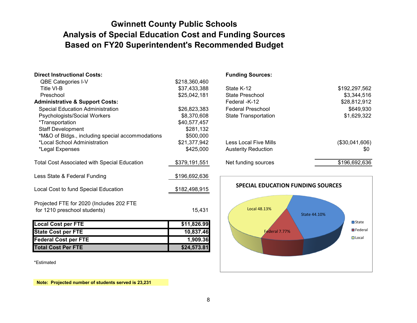## **Based on FY20 Superintendent's Recommended Budget Gwinnett County Public Schools Analysis of Special Education Cost and Funding Sources**

| <b>Direct Instructional Costs:</b>                  |               | <b>Funding Sources:</b>                  |                        |
|-----------------------------------------------------|---------------|------------------------------------------|------------------------|
| <b>QBE Categories I-V</b>                           | \$218,360,460 |                                          |                        |
| Title VI-B                                          | \$37,433,388  | State K-12                               | \$192,297,562          |
| Preschool                                           | \$25,042,181  | State Preschool                          | \$3,344,516            |
| <b>Administrative &amp; Support Costs:</b>          |               | Federal -K-12                            | \$28,812,912           |
| <b>Special Education Administration</b>             | \$26,823,383  | <b>Federal Preschool</b>                 | \$649,930              |
| Psychologists/Social Workers                        | \$8,370,608   | <b>State Transportation</b>              | \$1,629,322            |
| <i>*</i> Transportation                             | \$40,577,457  |                                          |                        |
| <b>Staff Development</b>                            | \$281,132     |                                          |                        |
| *M&O of Bldgs., including special accommodations    | \$500,000     |                                          |                        |
| *Local School Administration                        | \$21,377,942  | <b>Less Local Five Mills</b>             | (\$30,041,606)         |
| *Legal Expenses                                     | \$425,000     | <b>Austerity Reduction</b>               | \$0                    |
|                                                     |               |                                          |                        |
| <b>Total Cost Associated with Special Education</b> | \$379,191,551 | Net funding sources                      | \$196,692,636          |
|                                                     |               |                                          |                        |
| Less State & Federal Funding                        | \$196,692,636 |                                          |                        |
| Local Cost to fund Special Education                | \$182,498,915 | <b>SPECIAL EDUCATION FUNDING SOURCES</b> |                        |
| Projected FTE for 2020 (Includes 202 FTE            |               |                                          |                        |
| for 1210 preschool students)                        | 15,431        | <b>Local 48.13%</b>                      |                        |
|                                                     |               | <b>State 44.10%</b>                      |                        |
| <b>Local Cost per FTE</b>                           | \$11,826.99   |                                          | $\Box$ State           |
| <b>State Cost per FTE</b>                           | 10,837.46     | Federal 7.77%                            | $\blacksquare$ Federal |
| <b>Federal Cost per FTE</b>                         | 1,909.36      |                                          | $\Box$ Local           |
| <b>Total Cost Per FTE</b>                           | \$24,573.81   |                                          |                        |
|                                                     |               |                                          |                        |

\*Estimated

 **Note: Projected number of students served is 23,231**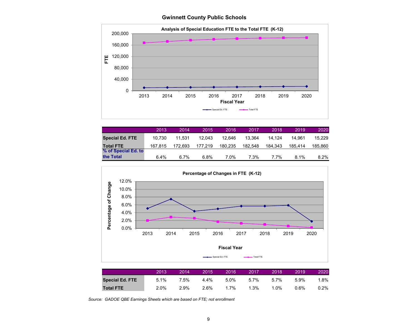**Gwinnett County Public Schools**



|                        | 2013    | 2014    | 2015    | 2016'   | 2017    | 2018    | 2019    | 2020    |
|------------------------|---------|---------|---------|---------|---------|---------|---------|---------|
| <b>Special Ed. FTE</b> | 10.730  | 11.531  | 12.043  | 12.646  | 13.364  | 14.124  | 14.961  | 15.229  |
| <b>Total FTE</b>       | 167.815 | 172.693 | 177,219 | 180.235 | 182.548 | 184.343 | 185.414 | 185,860 |
| % of Special Ed. to    |         |         |         |         |         |         |         |         |
| the Total              | 6.4%    | 6.7%    | 6.8%    | 7.0%    | 7.3%    | 7.7%    | 8.1%    | 8.2%    |



*Source: GADOE QBE Earnings Sheets which are based on FTE; not enrollment*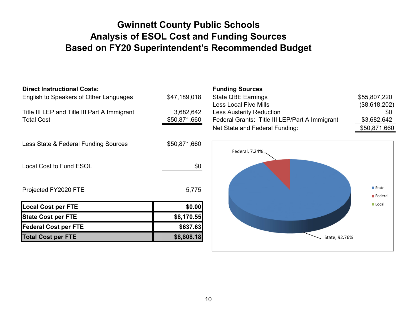## **Gwinnett County Public Schools Analysis of ESOL Cost and Funding Sources Based on FY20 Superintendent's Recommended Budget**

## **Direct Instructional Costs:**

Less State & Federal Funding Sources \$50,871,660

| 3,682,642    |
|--------------|
| \$50,871,660 |
|              |

#### **Funding Sources**

| English to Speakers of Other Languages       | \$47,189,018 | State QBE Earnings                             | \$55,807,220  |
|----------------------------------------------|--------------|------------------------------------------------|---------------|
|                                              |              | Less Local Five Mills                          | (\$8,618,202) |
| Title III LEP and Title III Part A Immigrant | 3,682,642    | <b>Less Austerity Reduction</b>                | \$0           |
| <b>Total Cost</b>                            | \$50,871,660 | Federal Grants: Title III LEP/Part A Immigrant | \$3,682,642   |
|                                              |              | Net State and Federal Funding:                 | \$50,871,660  |



| Local Cost to Fund ESOL     | \$0        |
|-----------------------------|------------|
| Projected FY2020 FTE        | 5,775      |
| <b>Local Cost per FTE</b>   | \$0.00     |
| <b>State Cost per FTE</b>   | \$8,170.55 |
| <b>Federal Cost per FTE</b> | \$637.63   |
| <b>Total Cost per FTE</b>   | \$8,808.18 |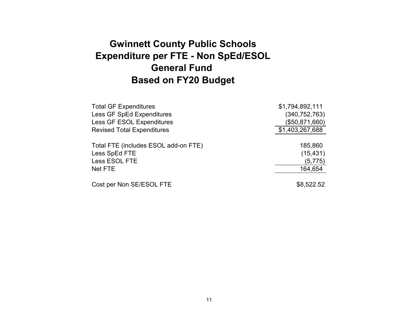## **Gwinnett County Public Schools Expenditure per FTE - Non SpEd/ESOL General Fund Based on FY20 Budget**

| <b>Total GF Expenditures</b>         | \$1,794,892,111 |
|--------------------------------------|-----------------|
| <b>Less GF SpEd Expenditures</b>     | (340, 752, 763) |
| <b>Less GF ESOL Expenditures</b>     | (\$50,871,660)  |
| <b>Revised Total Expenditures</b>    | \$1,403,267,688 |
|                                      |                 |
| Total FTE (includes ESOL add-on FTE) | 185,860         |
| Less SpEd FTE                        | (15, 431)       |
| Less ESOL FTE                        | (5, 775)        |
| Net FTE                              | 164,654         |
|                                      |                 |
| Cost per Non SE/ESOL FTE             | \$8,522.52      |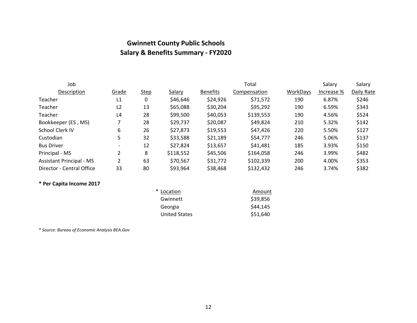## **Gwinnett County Public Schools Salary & Benefits Summary ‐ FY2020**

| Job                             |                |             |           |                 | Total        |          | Salary     | Salary     |
|---------------------------------|----------------|-------------|-----------|-----------------|--------------|----------|------------|------------|
| Description                     | Grade          | <b>Step</b> | Salary    | <b>Benefits</b> | Compensation | WorkDays | Increase % | Daily Rate |
| Teacher                         | L1             | 0           | \$46,646  | \$24,926        | \$71,572     | 190      | 6.87%      | \$246      |
| Teacher                         | L <sub>2</sub> | 13          | \$65,088  | \$30,204        | \$95,292     | 190      | 6.59%      | \$343      |
| Teacher                         | L4             | 28          | \$99,500  | \$40,053        | \$139,553    | 190      | 4.56%      | \$524      |
| Bookkeeper (ES, MS)             |                | 28          | \$29,737  | \$20,087        | \$49,824     | 210      | 5.32%      | \$142      |
| School Clerk IV                 | 6              | 26          | \$27,873  | \$19,553        | \$47,426     | 220      | 5.50%      | \$127      |
| Custodian                       | 5.             | 32          | \$33,588  | \$21,189        | \$54,777     | 246      | 5.06%      | \$137      |
| <b>Bus Driver</b>               |                | 12          | \$27,824  | \$13,657        | \$41,481     | 185      | 3.93%      | \$150      |
| Principal - MS                  |                | 8           | \$118,552 | \$45,506        | \$164,058    | 246      | 3.99%      | \$482      |
| <b>Assistant Principal - MS</b> | 2              | 63          | \$70,567  | \$31,772        | \$102,339    | 200      | 4.00%      | \$353      |
| Director - Central Office       | 33             | 80          | \$93,964  | \$38,468        | \$132,432    | 246      | 3.74%      | \$382      |

### **\* Per Capita Income 2017**

| * Location           | Amount   |
|----------------------|----------|
| Gwinnett             | \$39,856 |
| Georgia              | \$44,145 |
| <b>United States</b> | \$51,640 |

*\* Source: Bureau of Economic Analysis BEA.Gov*